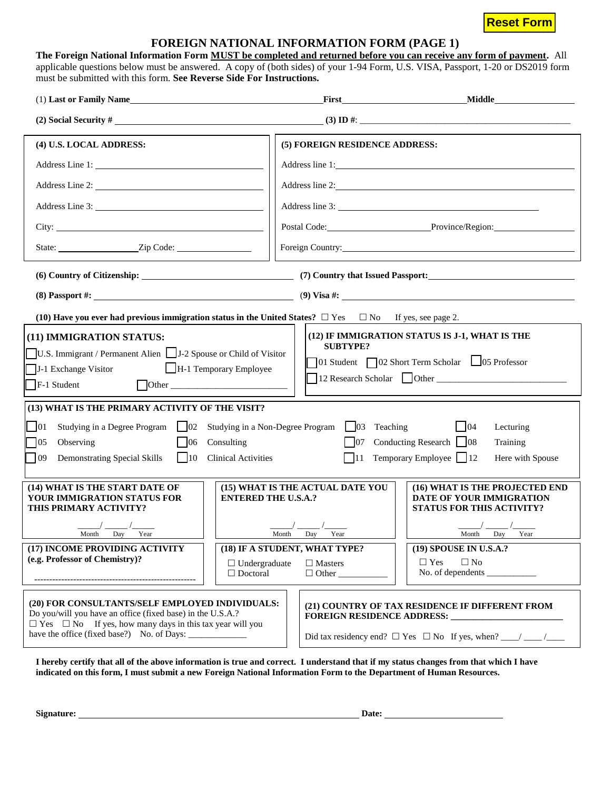**Reset Form**

## **FOREIGN NATIONAL INFORMATION FORM (PAGE 1)**

**The Foreign National Information Form MUST be completed and returned before you can receive any form of payment.** All applicable questions below must be answered. A copy of (both sides) of your 1-94 Form, U.S. VISA, Passport, 1-20 or DS2019 form must be submitted with this form. **See Reverse Side For Instructions.**

| (1) Last or Family Name                                                                                                                                                                                                                                                                                                                                                                                                                         | <b>First Exercise 2020</b>                                     | <b>Middle</b>                                                                                                                                                 |  |  |  |
|-------------------------------------------------------------------------------------------------------------------------------------------------------------------------------------------------------------------------------------------------------------------------------------------------------------------------------------------------------------------------------------------------------------------------------------------------|----------------------------------------------------------------|---------------------------------------------------------------------------------------------------------------------------------------------------------------|--|--|--|
|                                                                                                                                                                                                                                                                                                                                                                                                                                                 |                                                                | (2) Social Security #                                                                                                                                         |  |  |  |
| (4) U.S. LOCAL ADDRESS:                                                                                                                                                                                                                                                                                                                                                                                                                         | (5) FOREIGN RESIDENCE ADDRESS:                                 |                                                                                                                                                               |  |  |  |
| Address Line 1:                                                                                                                                                                                                                                                                                                                                                                                                                                 |                                                                | Address line 1:                                                                                                                                               |  |  |  |
|                                                                                                                                                                                                                                                                                                                                                                                                                                                 | Address line 2:                                                |                                                                                                                                                               |  |  |  |
| Address Line 3:                                                                                                                                                                                                                                                                                                                                                                                                                                 |                                                                |                                                                                                                                                               |  |  |  |
| City:                                                                                                                                                                                                                                                                                                                                                                                                                                           | Postal Code: Province/Region:                                  |                                                                                                                                                               |  |  |  |
|                                                                                                                                                                                                                                                                                                                                                                                                                                                 |                                                                |                                                                                                                                                               |  |  |  |
| (6) Country of Citizenship: (7) Country that Issued Passport: (8) Country that Issued Passport:                                                                                                                                                                                                                                                                                                                                                 |                                                                |                                                                                                                                                               |  |  |  |
|                                                                                                                                                                                                                                                                                                                                                                                                                                                 |                                                                |                                                                                                                                                               |  |  |  |
| (10) Have you ever had previous immigration status in the United States? $\Box$ Yes $\Box$ No If yes, see page 2.                                                                                                                                                                                                                                                                                                                               |                                                                |                                                                                                                                                               |  |  |  |
| (11) IMMIGRATION STATUS:<br>U.S. Immigrant / Permanent Alien   J-2 Spouse or Child of Visitor<br>H-1 Temporary Employee<br>$\Box$ J-1 Exchange Visitor<br>$\prod$ F-1 Student                                                                                                                                                                                                                                                                   | <b>SUBTYPE?</b>                                                | (12) IF IMMIGRATION STATUS IS J-1, WHAT IS THE<br>01 Student 02 Short Term Scholar 05 Professor<br>12 Research Scholar Other                                  |  |  |  |
| (13) WHAT IS THE PRIMARY ACTIVITY OF THE VISIT?<br>01<br>Studying in a Degree Program $\Box$ 02 Studying in a Non-Degree Program $\Box$ 03 Teaching<br>$\vert$ $\vert$ 04<br>Lecturing<br>Conducting Research 108<br>05<br>$\bigcup 06$<br>Consulting<br>$\vert$ $\vert$ 07<br>Observing<br>Training<br>$\Box$ 10<br>09<br>Temporary Employee 12<br><b>Demonstrating Special Skills</b><br><b>Clinical Activities</b><br>11<br>Here with Spouse |                                                                |                                                                                                                                                               |  |  |  |
| (14) WHAT IS THE START DATE OF<br>YOUR IMMIGRATION STATUS FOR<br>THIS PRIMARY ACTIVITY?                                                                                                                                                                                                                                                                                                                                                         | (15) WHAT IS THE ACTUAL DATE YOU<br><b>ENTERED THE U.S.A.?</b> | (16) WHAT IS THE PROJECTED END<br>DATE OF YOUR IMMIGRATION<br><b>STATUS FOR THIS ACTIVITY?</b>                                                                |  |  |  |
| Year<br>Month<br>Day                                                                                                                                                                                                                                                                                                                                                                                                                            | Month<br>Day<br>Year                                           | Month<br>Day<br>Year                                                                                                                                          |  |  |  |
| (17) INCOME PROVIDING ACTIVITY<br>(e.g. Professor of Chemistry)?<br>$\Box$ Undergraduate<br>$\Box$ Doctoral                                                                                                                                                                                                                                                                                                                                     | (18) IF A STUDENT, WHAT TYPE?<br>$\Box$ Masters                | (19) SPOUSE IN U.S.A.?<br>$\Box$ No<br>$\Box$ Yes<br>No. of dependents                                                                                        |  |  |  |
| (20) FOR CONSULTANTS/SELF EMPLOYED INDIVIDUALS:<br>Do you/will you have an office (fixed base) in the U.S.A.?<br>$\Box$ Yes $\Box$ No If yes, how many days in this tax year will you                                                                                                                                                                                                                                                           |                                                                | (21) COUNTRY OF TAX RESIDENCE IF DIFFERENT FROM<br><b>FOREIGN RESIDENCE ADDRESS: _</b><br>Did tax residency end? $\Box$ Yes $\Box$ No If yes, when? ___/ ___/ |  |  |  |

**I hereby certify that all of the above information is true and correct. I understand that if my status changes from that which I have indicated on this form, I must submit a new Foreign National Information Form to the Department of Human Resources.** 

**Signature:** <u>Date:</u> **Date: Date: Date: Date: Date: Date: Date: Date: Date: Date: Date: Date: Date: Date: Date: Date: Date: Date: Date: Date: Date: Date: Date: Date: Date:**